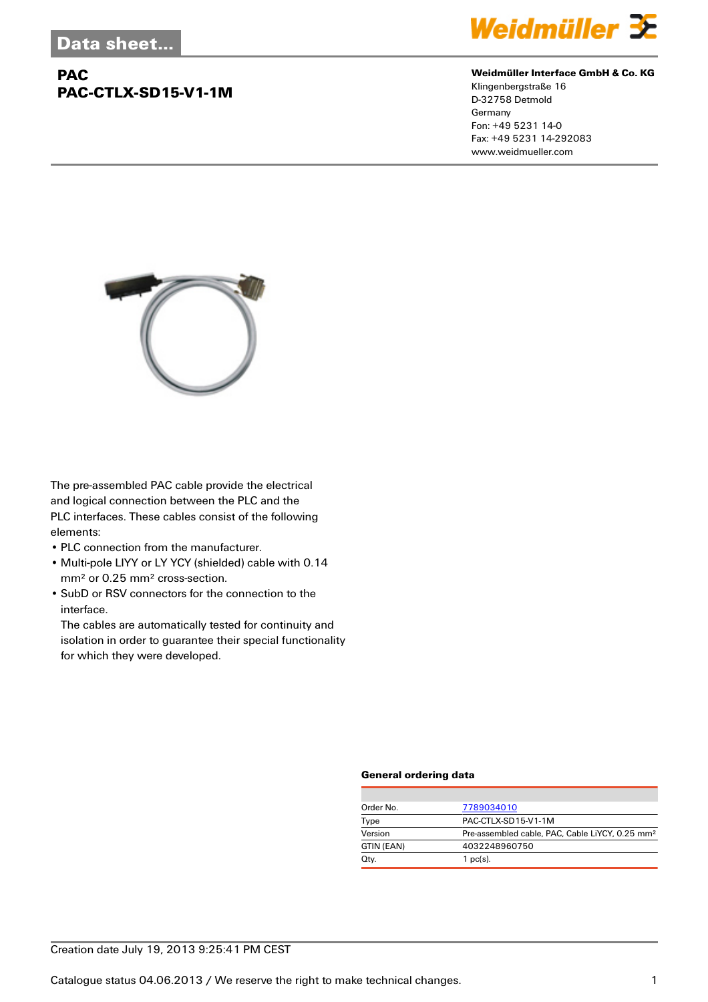# **PAC PAC-CTLX-SD15-V1-1M**



#### **Weidmüller Interface GmbH & Co. KG**

Klingenbergstraße 16 D-32758 Detmold Germany Fon: +49 5231 14-0 Fax: +49 5231 14-292083 www.weidmueller.com



The pre-assembled PAC cable provide the electrical and logical connection between the PLC and the PLC interfaces. These cables consist of the following elements:

- PLC connection from the manufacturer.
- Multi-pole LIYY or LY YCY (shielded) cable with 0.14 mm² or 0.25 mm² cross-section.
- SubD or RSV connectors for the connection to the interface.

The cables are automatically tested for continuity and isolation in order to guarantee their special functionality for which they were developed.

### **General ordering data**

| Order No.  | 7789034010                                                  |  |  |
|------------|-------------------------------------------------------------|--|--|
| Type       | PAC-CTLX-SD15-V1-1M                                         |  |  |
| Version    | Pre-assembled cable, PAC, Cable LiYCY, 0.25 mm <sup>2</sup> |  |  |
| GTIN (EAN) | 4032248960750                                               |  |  |
| Qty.       | $1$ pc(s).                                                  |  |  |